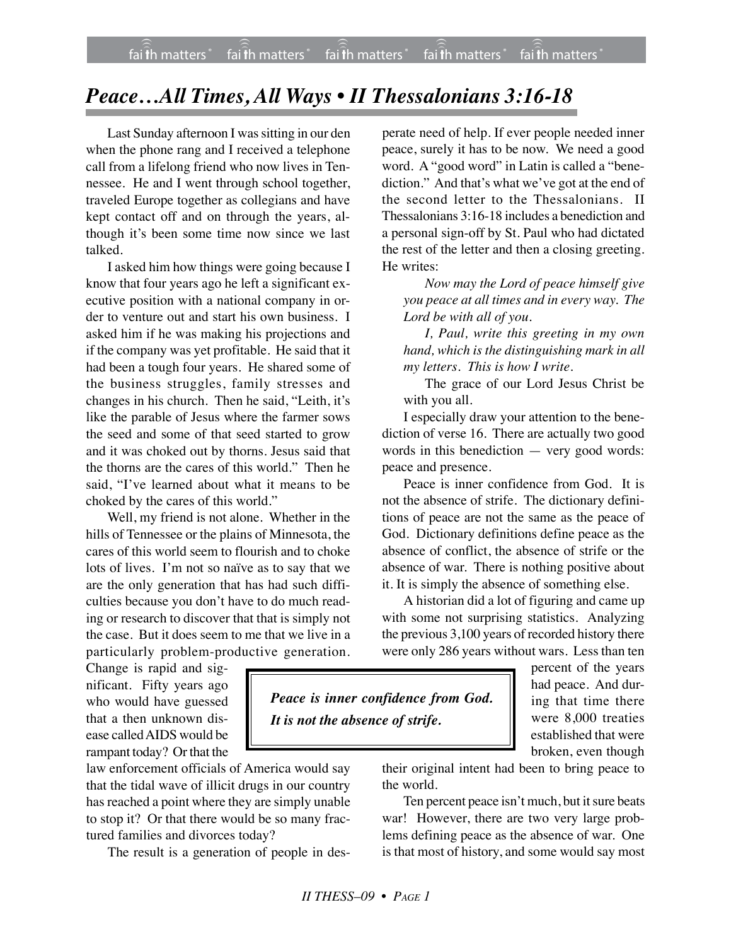## *Peace…All Times, All Ways • II Thessalonians 3:16-18*

Last Sunday afternoon I was sitting in our den when the phone rang and I received a telephone call from a lifelong friend who now lives in Tennessee. He and I went through school together, traveled Europe together as collegians and have kept contact off and on through the years, although it's been some time now since we last talked.

I asked him how things were going because I know that four years ago he left a significant executive position with a national company in order to venture out and start his own business. I asked him if he was making his projections and if the company was yet profitable. He said that it had been a tough four years. He shared some of the business struggles, family stresses and changes in his church. Then he said, "Leith, it's like the parable of Jesus where the farmer sows the seed and some of that seed started to grow and it was choked out by thorns. Jesus said that the thorns are the cares of this world." Then he said, "I've learned about what it means to be choked by the cares of this world."

Well, my friend is not alone. Whether in the hills of Tennessee or the plains of Minnesota, the cares of this world seem to flourish and to choke lots of lives. I'm not so naïve as to say that we are the only generation that has had such difficulties because you don't have to do much reading or research to discover that that is simply not the case. But it does seem to me that we live in a particularly problem-productive generation.

Change is rapid and significant. Fifty years ago who would have guessed that a then unknown disease called AIDS would be rampant today? Or that the

law enforcement officials of America would say that the tidal wave of illicit drugs in our country has reached a point where they are simply unable to stop it? Or that there would be so many fractured families and divorces today?

The result is a generation of people in des-

perate need of help. If ever people needed inner peace, surely it has to be now. We need a good word. A "good word" in Latin is called a "benediction." And that's what we've got at the end of the second letter to the Thessalonians. II Thessalonians 3:16-18 includes a benediction and a personal sign-off by St. Paul who had dictated the rest of the letter and then a closing greeting. He writes:

*Now may the Lord of peace himself give you peace at all times and in every way. The Lord be with all of you.*

*I, Paul, write this greeting in my own hand, which is the distinguishing mark in all my letters. This is how I write.*

The grace of our Lord Jesus Christ be with you all.

I especially draw your attention to the benediction of verse 16. There are actually two good words in this benediction — very good words: peace and presence.

Peace is inner confidence from God. It is not the absence of strife. The dictionary definitions of peace are not the same as the peace of God. Dictionary definitions define peace as the absence of conflict, the absence of strife or the absence of war. There is nothing positive about it. It is simply the absence of something else.

A historian did a lot of figuring and came up with some not surprising statistics. Analyzing the previous 3,100 years of recorded history there were only 286 years without wars. Less than ten

*Peace is inner confidence from God. It is not the absence of strife.*

percent of the years had peace. And during that time there were 8,000 treaties established that were broken, even though

their original intent had been to bring peace to the world.

Ten percent peace isn't much, but it sure beats war! However, there are two very large problems defining peace as the absence of war. One is that most of history, and some would say most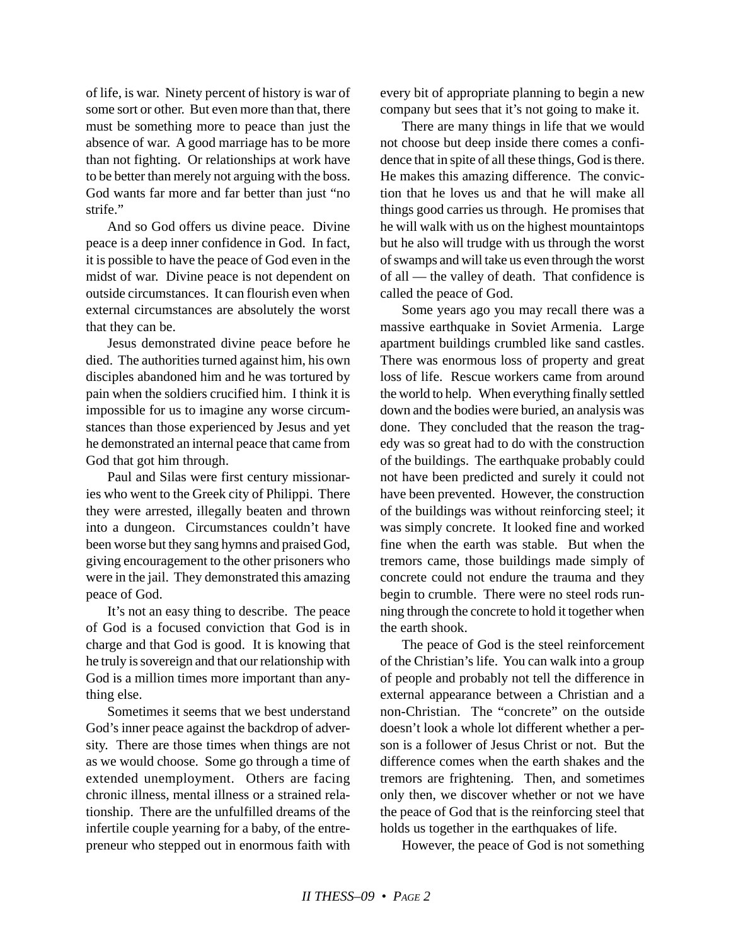of life, is war. Ninety percent of history is war of some sort or other. But even more than that, there must be something more to peace than just the absence of war. A good marriage has to be more than not fighting. Or relationships at work have to be better than merely not arguing with the boss. God wants far more and far better than just "no strife."

And so God offers us divine peace. Divine peace is a deep inner confidence in God. In fact, it is possible to have the peace of God even in the midst of war. Divine peace is not dependent on outside circumstances. It can flourish even when external circumstances are absolutely the worst that they can be.

Jesus demonstrated divine peace before he died. The authorities turned against him, his own disciples abandoned him and he was tortured by pain when the soldiers crucified him. I think it is impossible for us to imagine any worse circumstances than those experienced by Jesus and yet he demonstrated an internal peace that came from God that got him through.

Paul and Silas were first century missionaries who went to the Greek city of Philippi. There they were arrested, illegally beaten and thrown into a dungeon. Circumstances couldn't have been worse but they sang hymns and praised God, giving encouragement to the other prisoners who were in the jail. They demonstrated this amazing peace of God.

It's not an easy thing to describe. The peace of God is a focused conviction that God is in charge and that God is good. It is knowing that he truly is sovereign and that our relationship with God is a million times more important than anything else.

Sometimes it seems that we best understand God's inner peace against the backdrop of adversity. There are those times when things are not as we would choose. Some go through a time of extended unemployment. Others are facing chronic illness, mental illness or a strained relationship. There are the unfulfilled dreams of the infertile couple yearning for a baby, of the entrepreneur who stepped out in enormous faith with

every bit of appropriate planning to begin a new company but sees that it's not going to make it.

There are many things in life that we would not choose but deep inside there comes a confidence that in spite of all these things, God is there. He makes this amazing difference. The conviction that he loves us and that he will make all things good carries us through. He promises that he will walk with us on the highest mountaintops but he also will trudge with us through the worst of swamps and will take us even through the worst of all — the valley of death. That confidence is called the peace of God.

Some years ago you may recall there was a massive earthquake in Soviet Armenia. Large apartment buildings crumbled like sand castles. There was enormous loss of property and great loss of life. Rescue workers came from around the world to help. When everything finally settled down and the bodies were buried, an analysis was done. They concluded that the reason the tragedy was so great had to do with the construction of the buildings. The earthquake probably could not have been predicted and surely it could not have been prevented. However, the construction of the buildings was without reinforcing steel; it was simply concrete. It looked fine and worked fine when the earth was stable. But when the tremors came, those buildings made simply of concrete could not endure the trauma and they begin to crumble. There were no steel rods running through the concrete to hold it together when the earth shook.

The peace of God is the steel reinforcement of the Christian's life. You can walk into a group of people and probably not tell the difference in external appearance between a Christian and a non-Christian. The "concrete" on the outside doesn't look a whole lot different whether a person is a follower of Jesus Christ or not. But the difference comes when the earth shakes and the tremors are frightening. Then, and sometimes only then, we discover whether or not we have the peace of God that is the reinforcing steel that holds us together in the earthquakes of life.

However, the peace of God is not something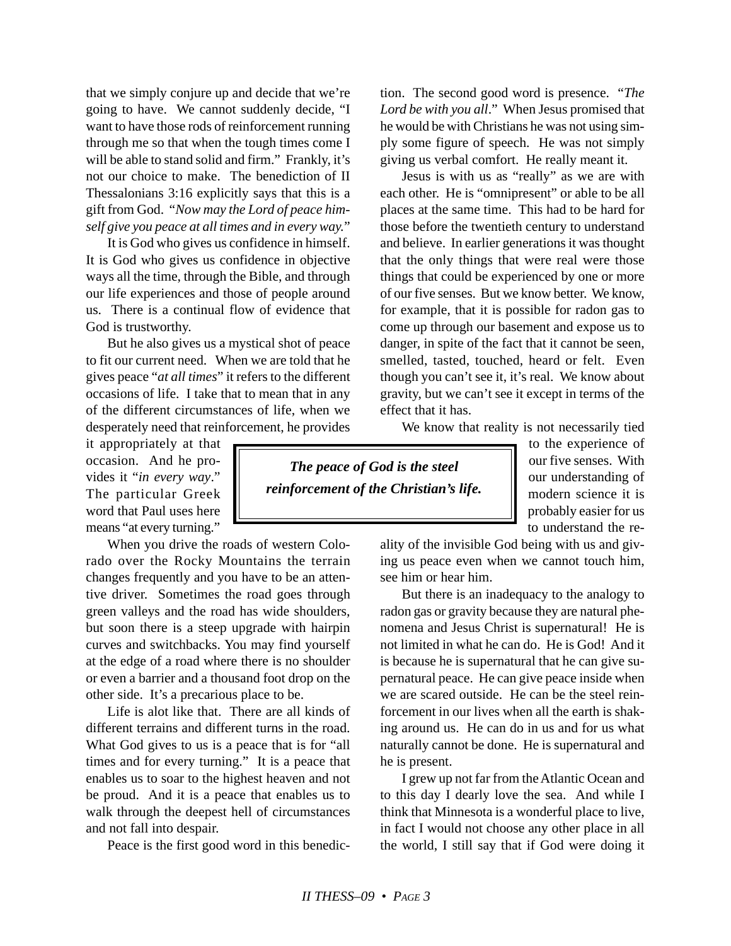that we simply conjure up and decide that we're going to have. We cannot suddenly decide, "I want to have those rods of reinforcement running through me so that when the tough times come I will be able to stand solid and firm." Frankly, it's not our choice to make. The benediction of II Thessalonians 3:16 explicitly says that this is a gift from God. "*Now may the Lord of peace himself give you peace at all times and in every way.*"

It is God who gives us confidence in himself. It is God who gives us confidence in objective ways all the time, through the Bible, and through our life experiences and those of people around us. There is a continual flow of evidence that God is trustworthy.

But he also gives us a mystical shot of peace to fit our current need. When we are told that he gives peace "*at all times*" it refers to the different occasions of life. I take that to mean that in any of the different circumstances of life, when we desperately need that reinforcement, he provides

it appropriately at that occasion. And he provides it "*in every way*." The particular Greek word that Paul uses here means "at every turning."

When you drive the roads of western Colorado over the Rocky Mountains the terrain changes frequently and you have to be an attentive driver. Sometimes the road goes through green valleys and the road has wide shoulders, but soon there is a steep upgrade with hairpin curves and switchbacks. You may find yourself at the edge of a road where there is no shoulder or even a barrier and a thousand foot drop on the other side. It's a precarious place to be.

Life is alot like that. There are all kinds of different terrains and different turns in the road. What God gives to us is a peace that is for "all times and for every turning." It is a peace that enables us to soar to the highest heaven and not be proud. And it is a peace that enables us to walk through the deepest hell of circumstances and not fall into despair.

Peace is the first good word in this benedic-

tion. The second good word is presence. "*The Lord be with you all*." When Jesus promised that he would be with Christians he was not using simply some figure of speech. He was not simply giving us verbal comfort. He really meant it.

Jesus is with us as "really" as we are with each other. He is "omnipresent" or able to be all places at the same time. This had to be hard for those before the twentieth century to understand and believe. In earlier generations it was thought that the only things that were real were those things that could be experienced by one or more of our five senses. But we know better. We know, for example, that it is possible for radon gas to come up through our basement and expose us to danger, in spite of the fact that it cannot be seen, smelled, tasted, touched, heard or felt. Even though you can't see it, it's real. We know about gravity, but we can't see it except in terms of the effect that it has.

We know that reality is not necessarily tied

*The peace of God is the steel reinforcement of the Christian's life.* to the experience of our five senses. With our understanding of modern science it is probably easier for us to understand the re-

ality of the invisible God being with us and giving us peace even when we cannot touch him, see him or hear him.

But there is an inadequacy to the analogy to radon gas or gravity because they are natural phenomena and Jesus Christ is supernatural! He is not limited in what he can do. He is God! And it is because he is supernatural that he can give supernatural peace. He can give peace inside when we are scared outside. He can be the steel reinforcement in our lives when all the earth is shaking around us. He can do in us and for us what naturally cannot be done. He is supernatural and he is present.

I grew up not far from the Atlantic Ocean and to this day I dearly love the sea. And while I think that Minnesota is a wonderful place to live, in fact I would not choose any other place in all the world, I still say that if God were doing it